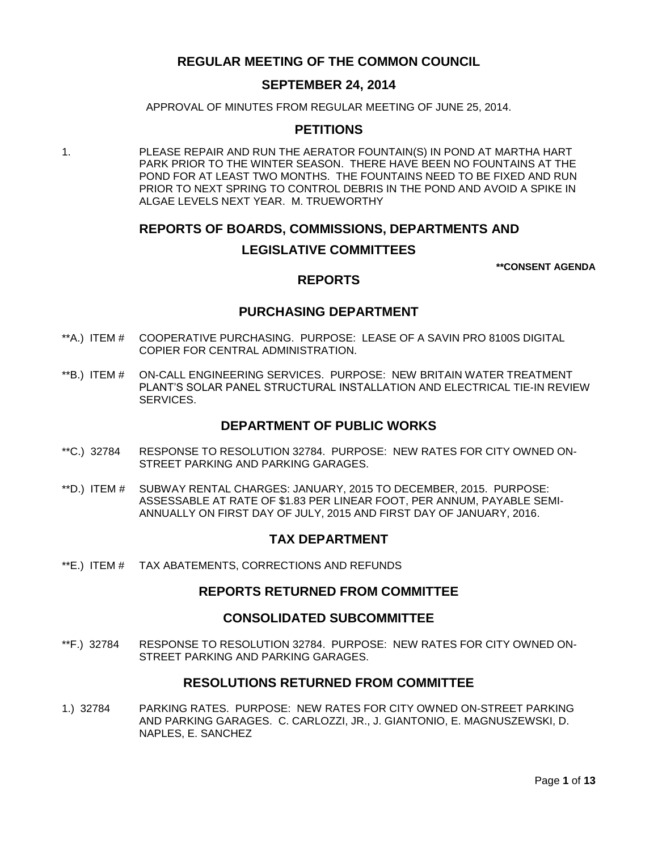# **REGULAR MEETING OF THE COMMON COUNCIL**

### **SEPTEMBER 24, 2014**

APPROVAL OF MINUTES FROM REGULAR MEETING OF JUNE 25, 2014.

### **PETITIONS**

1. PLEASE REPAIR AND RUN THE AERATOR FOUNTAIN(S) IN POND AT MARTHA HART PARK PRIOR TO THE WINTER SEASON. THERE HAVE BEEN NO FOUNTAINS AT THE POND FOR AT LEAST TWO MONTHS. THE FOUNTAINS NEED TO BE FIXED AND RUN PRIOR TO NEXT SPRING TO CONTROL DEBRIS IN THE POND AND AVOID A SPIKE IN ALGAE LEVELS NEXT YEAR. M. TRUEWORTHY

# **REPORTS OF BOARDS, COMMISSIONS, DEPARTMENTS AND LEGISLATIVE COMMITTEES**

**\*\*CONSENT AGENDA**

# **REPORTS**

### **PURCHASING DEPARTMENT**

- \*\*A.) ITEM # [COOPERATIVE PURCHASING. PURPOSE: LEASE OF A SAVIN PRO 8100S DIGITAL](#page-2-0)  [COPIER FOR CENTRAL ADMINISTRATION.](#page-2-0)
- \*\*B.) ITEM # [ON-CALL ENGINEERING SERVICES. PURPOSE: NEW BRITAIN WATER TREATMENT](#page-3-0)  [PLANT'S SOLAR PANEL STRUCTURAL INSTALLATION AND ELECTRICAL TIE-IN REVIEW](#page-3-0)  [SERVICES.](#page-3-0)

### **DEPARTMENT OF PUBLIC WORKS**

- \*\*C.) 32784 [RESPONSE TO RESOLUTION 32784. PURPOSE: NEW RATES FOR CITY OWNED ON-](#page-3-1)[STREET PARKING AND PARKING GARAGES.](#page-3-1)
- \*\*D.) ITEM # [SUBWAY RENTAL CHARGES: JANUARY, 2015 TO DECEMBER, 2015. PURPOSE:](#page-4-0)  [ASSESSABLE AT RATE OF \\$1.83 PER LINEAR FOOT, PER ANNUM, PAYABLE SEMI-](#page-4-0)[ANNUALLY ON FIRST DAY OF JULY, 2015 AND FIRST DAY OF JANUARY, 2016.](#page-4-0)

# **TAX DEPARTMENT**

\*\*E.) ITEM # [TAX ABATEMENTS, CORRECTIONS](#page-4-1) AND REFUNDS

### **REPORTS RETURNED FROM COMMITTEE**

#### **CONSOLIDATED SUBCOMMITTEE**

\*\*F.) 32784 [RESPONSE TO RESOLUTION 32784. PURPOSE: NEW RATES FOR CITY OWNED ON-](#page-5-0)[STREET PARKING AND PARKING GARAGES.](#page-5-0)

### **RESOLUTIONS RETURNED FROM COMMITTEE**

1.) 32784 [PARKING RATES. PURPOSE: NEW RATES FOR CITY OWNED ON-STREET PARKING](#page-5-1)  [AND PARKING GARAGES. C. CARLOZZI, JR., J. GIANTONIO, E. MAGNUSZEWSKI, D.](#page-5-1)  [NAPLES, E. SANCHEZ](#page-5-1)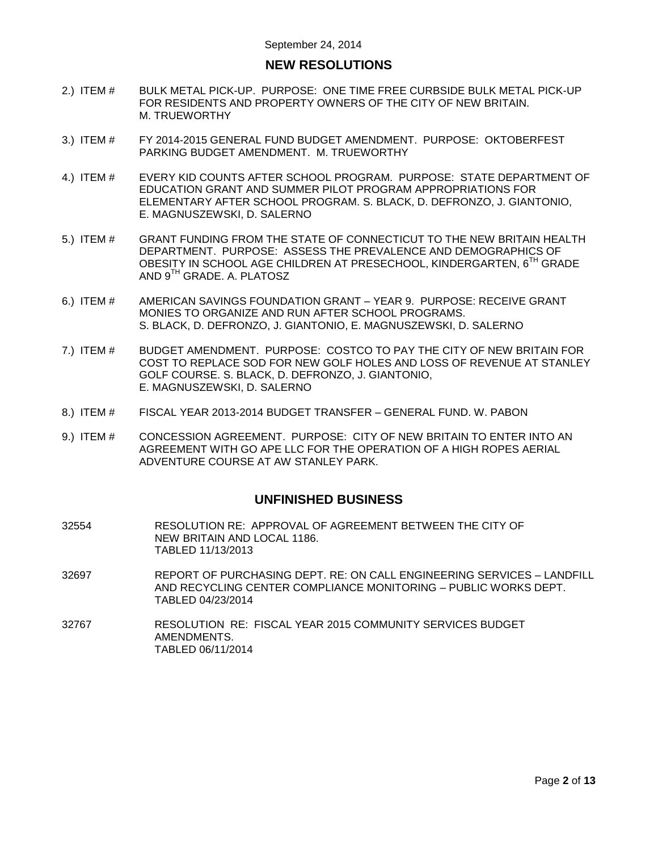# **NEW RESOLUTIONS**

- 2.) ITEM # [BULK METAL PICK-UP. PURPOSE: ONE TIME FREE CURBSIDE BULK METAL PICK-UP](#page-6-0)  [FOR RESIDENTS AND PROPERTY OWNERS OF THE CITY OF NEW BRITAIN.](#page-6-0)  [M. TRUEWORTHY](#page-6-0)
- 3.) ITEM # [FY 2014-2015 GENERAL FUND BUDGET AMENDMENT. PURPOSE: OKTOBERFEST](#page-7-0) [PARKING BUDGET AMENDMENT. M. TRUEWORTHY](#page-7-0)
- 4.) ITEM # [EVERY KID COUNTS AFTER SCHOOL PROGRAM. PURPOSE: STATE DEPARTMENT OF](#page-7-1)  EDUCATION GRANT [AND SUMMER PILOT PROGRAM APPROPRIATIONS](#page-7-1) FOR [ELEMENTARY AFTER SCHOOL PROGRAM.](#page-7-1) S. BLACK, D. DEFRONZO, J. GIANTONIO, [E. MAGNUSZEWSKI, D. SALERNO](#page-7-1)
- 5.) ITEM # [GRANT FUNDING FROM THE STATE OF CONNECTICUT TO THE NEW BRITAIN HEALTH](#page-8-0)  [DEPARTMENT. PURPOSE: ASSESS THE PREVALENCE AND DEMOGRAPHICS OF](#page-8-0)  [OBESITY IN SCHOOL AGE CHILDREN AT PRESECHOOL, KINDERGARTEN, 6](#page-8-0)<sup>TH</sup> GRADE AND 9TH [GRADE. A. PLATOSZ](#page-8-0)
- 6.) ITEM # [AMERICAN SAVINGS FOUNDATION GRANT –](#page-9-0) YEAR 9. PURPOSE: RECEIVE GRANT [MONIES TO ORGANIZE AND RUN AFTER SCHOOL PROGRAMS.](#page-9-0)  [S. BLACK, D. DEFRONZO, J. GIANTONIO, E. MAGNUSZEWSKI, D. SALERNO](#page-9-0)
- 7.) ITEM # [BUDGET AMENDMENT. PURPOSE: COSTCO TO PAY THE CITY OF NEW BRITAIN FOR](#page-10-0)  [COST TO REPLACE SOD FOR NEW GOLF HOLES AND LOSS OF REVENUE AT STANLEY](#page-10-0)  [GOLF COURSE. S. BLACK, D. DEFRONZO, J. GIANTONIO,](#page-10-0)  [E. MAGNUSZEWSKI, D. SALERNO](#page-10-0)
- 8.) ITEM # [FISCAL YEAR 2013-2014 BUDGET TRANSFER –](#page-11-0) GENERAL FUND. W. PABON
- 9.) ITEM # [CONCESSION AGREEMENT. PURPOSE: CITY OF NEW BRITAIN TO ENTER INTO AN](#page-11-1)  [AGREEMENT WITH GO APE LLC FOR THE OPERATION OF A HIGH ROPES AERIAL](#page-11-1)  [ADVENTURE COURSE AT AW STANLEY PARK.](#page-11-1)

### **UNFINISHED BUSINESS**

- 32554 RESOLUTION RE: APPROVAL OF AGREEMENT BETWEEN THE CITY OF NEW BRITAIN AND LOCAL 1186. TABLED 11/13/2013
- 32697 REPORT OF PURCHASING DEPT. RE: ON CALL ENGINEERING SERVICES LANDFILL AND RECYCLING CENTER COMPLIANCE MONITORING – PUBLIC WORKS DEPT. TABLED 04/23/2014
- 32767 RESOLUTION RE: FISCAL YEAR 2015 COMMUNITY SERVICES BUDGET AMENDMENTS. TABLED 06/11/2014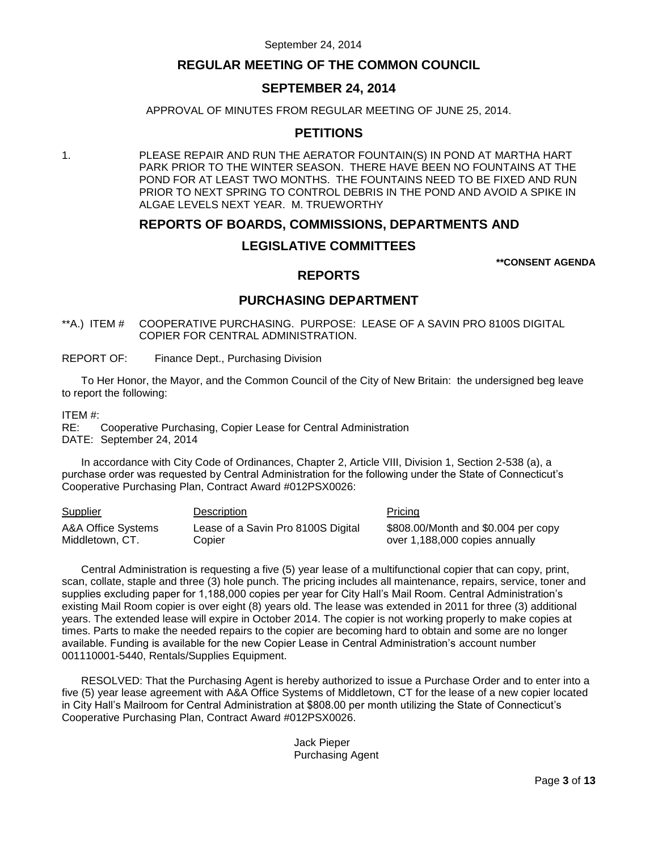# **REGULAR MEETING OF THE COMMON COUNCIL**

# **SEPTEMBER 24, 2014**

APPROVAL OF MINUTES FROM REGULAR MEETING OF JUNE 25, 2014.

# **PETITIONS**

1. PLEASE REPAIR AND RUN THE AERATOR FOUNTAIN(S) IN POND AT MARTHA HART PARK PRIOR TO THE WINTER SEASON. THERE HAVE BEEN NO FOUNTAINS AT THE POND FOR AT LEAST TWO MONTHS. THE FOUNTAINS NEED TO BE FIXED AND RUN PRIOR TO NEXT SPRING TO CONTROL DEBRIS IN THE POND AND AVOID A SPIKE IN ALGAE LEVELS NEXT YEAR. M. TRUEWORTHY

# **REPORTS OF BOARDS, COMMISSIONS, DEPARTMENTS AND**

# **LEGISLATIVE COMMITTEES**

**\*\*CONSENT AGENDA**

### **REPORTS**

### **PURCHASING DEPARTMENT**

<span id="page-2-0"></span>\*\*A.) ITEM # COOPERATIVE PURCHASING. PURPOSE: LEASE OF A SAVIN PRO 8100S DIGITAL COPIER FOR CENTRAL ADMINISTRATION.

REPORT OF: Finance Dept., Purchasing Division

To Her Honor, the Mayor, and the Common Council of the City of New Britain: the undersigned beg leave to report the following:

ITEM #:

RE: Cooperative Purchasing, Copier Lease for Central Administration DATE: September 24, 2014

In accordance with City Code of Ordinances, Chapter 2, Article VIII, Division 1, Section 2-538 (a), a purchase order was requested by Central Administration for the following under the State of Connecticut's Cooperative Purchasing Plan, Contract Award #012PSX0026:

| <b>Supplier</b>    | Description                        | <b>Pricing</b>                      |
|--------------------|------------------------------------|-------------------------------------|
| A&A Office Systems | Lease of a Savin Pro 8100S Digital | \$808.00/Month and \$0.004 per copy |
| Middletown, CT.    | Copier                             | over 1,188,000 copies annually      |

Central Administration is requesting a five (5) year lease of a multifunctional copier that can copy, print, scan, collate, staple and three (3) hole punch. The pricing includes all maintenance, repairs, service, toner and supplies excluding paper for 1,188,000 copies per year for City Hall's Mail Room. Central Administration's existing Mail Room copier is over eight (8) years old. The lease was extended in 2011 for three (3) additional years. The extended lease will expire in October 2014. The copier is not working properly to make copies at times. Parts to make the needed repairs to the copier are becoming hard to obtain and some are no longer available. Funding is available for the new Copier Lease in Central Administration's account number 001110001-5440, Rentals/Supplies Equipment.

RESOLVED: That the Purchasing Agent is hereby authorized to issue a Purchase Order and to enter into a five (5) year lease agreement with A&A Office Systems of Middletown, CT for the lease of a new copier located in City Hall's Mailroom for Central Administration at \$808.00 per month utilizing the State of Connecticut's Cooperative Purchasing Plan, Contract Award #012PSX0026.

> Jack Pieper Purchasing Agent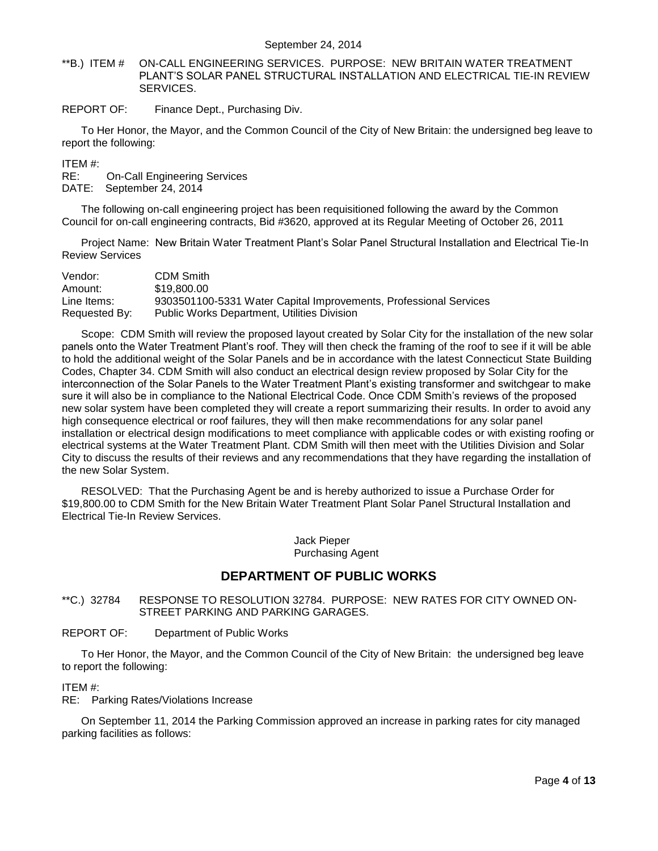<span id="page-3-0"></span>\*\*B.) ITEM # ON-CALL ENGINEERING SERVICES. PURPOSE: NEW BRITAIN WATER TREATMENT PLANT'S SOLAR PANEL STRUCTURAL INSTALLATION AND ELECTRICAL TIE-IN REVIEW SERVICES.

REPORT OF: Finance Dept., Purchasing Div.

To Her Honor, the Mayor, and the Common Council of the City of New Britain: the undersigned beg leave to report the following:

ITEM #:

RE: On-Call Engineering Services

DATE: September 24, 2014

The following on-call engineering project has been requisitioned following the award by the Common Council for on-call engineering contracts, Bid #3620, approved at its Regular Meeting of October 26, 2011

Project Name: New Britain Water Treatment Plant's Solar Panel Structural Installation and Electrical Tie-In Review Services

| Vendor:       | <b>CDM Smith</b>                                                  |
|---------------|-------------------------------------------------------------------|
| Amount:       | \$19,800.00                                                       |
| Line Items:   | 9303501100-5331 Water Capital Improvements, Professional Services |
| Requested By: | <b>Public Works Department, Utilities Division</b>                |

Scope: CDM Smith will review the proposed layout created by Solar City for the installation of the new solar panels onto the Water Treatment Plant's roof. They will then check the framing of the roof to see if it will be able to hold the additional weight of the Solar Panels and be in accordance with the latest Connecticut State Building Codes, Chapter 34. CDM Smith will also conduct an electrical design review proposed by Solar City for the interconnection of the Solar Panels to the Water Treatment Plant's existing transformer and switchgear to make sure it will also be in compliance to the National Electrical Code. Once CDM Smith's reviews of the proposed new solar system have been completed they will create a report summarizing their results. In order to avoid any high consequence electrical or roof failures, they will then make recommendations for any solar panel installation or electrical design modifications to meet compliance with applicable codes or with existing roofing or electrical systems at the Water Treatment Plant. CDM Smith will then meet with the Utilities Division and Solar City to discuss the results of their reviews and any recommendations that they have regarding the installation of the new Solar System.

RESOLVED: That the Purchasing Agent be and is hereby authorized to issue a Purchase Order for \$19,800.00 to CDM Smith for the New Britain Water Treatment Plant Solar Panel Structural Installation and Electrical Tie-In Review Services.

> Jack Pieper Purchasing Agent

# **DEPARTMENT OF PUBLIC WORKS**

<span id="page-3-1"></span>\*\*C.) 32784 RESPONSE TO RESOLUTION 32784. PURPOSE: NEW RATES FOR CITY OWNED ON-STREET PARKING AND PARKING GARAGES.

REPORT OF: Department of Public Works

To Her Honor, the Mayor, and the Common Council of the City of New Britain: the undersigned beg leave to report the following:

#### ITEM #:

RE: Parking Rates/Violations Increase

On September 11, 2014 the Parking Commission approved an increase in parking rates for city managed parking facilities as follows: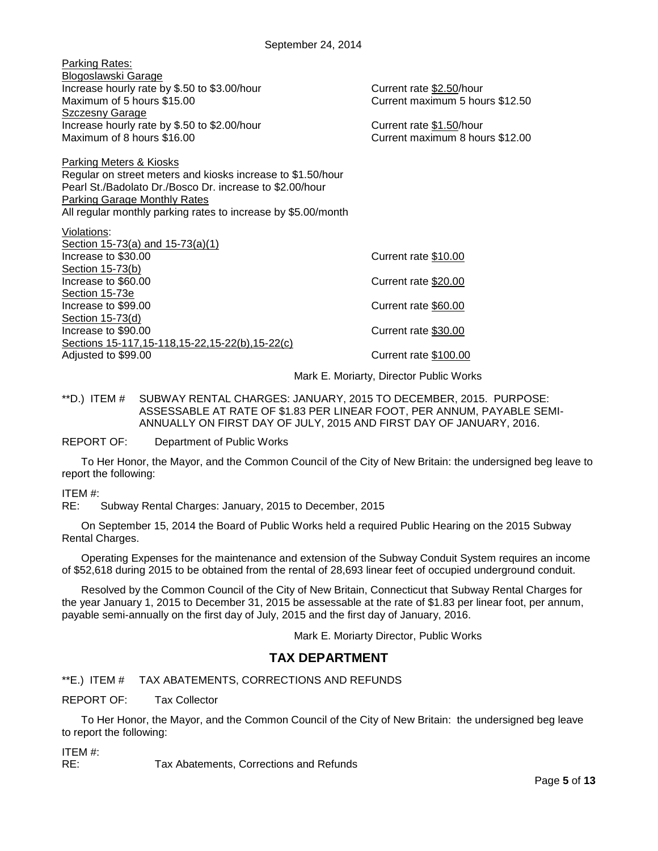| Parking Rates:                                                             |                                                             |
|----------------------------------------------------------------------------|-------------------------------------------------------------|
| Blogoslawski Garage                                                        |                                                             |
| Increase hourly rate by \$.50 to \$3.00/hour<br>Maximum of 5 hours \$15.00 | Current rate \$2.50/hour<br>Current maximum 5 hours \$12.50 |
| <b>Szczesny Garage</b>                                                     |                                                             |
| Increase hourly rate by \$.50 to \$2.00/hour                               | Current rate \$1.50/hour                                    |
| Maximum of 8 hours \$16.00                                                 | Current maximum 8 hours \$12.00                             |
|                                                                            |                                                             |
| <b>Parking Meters &amp; Kiosks</b>                                         |                                                             |
| Regular on street meters and kiosks increase to \$1.50/hour                |                                                             |
| Pearl St./Badolato Dr./Bosco Dr. increase to \$2.00/hour                   |                                                             |
| <b>Parking Garage Monthly Rates</b>                                        |                                                             |
| All regular monthly parking rates to increase by \$5.00/month              |                                                             |
| Violations:                                                                |                                                             |
| Section $15-73(a)$ and $15-73(a)(1)$                                       |                                                             |
| Increase to \$30.00                                                        | Current rate \$10.00                                        |
| Section 15-73(b)                                                           |                                                             |
| Increase to \$60.00<br>Section 15-73e                                      | Current rate \$20.00                                        |
| Increase to \$99.00                                                        | Current rate \$60.00                                        |
| Section 15-73(d)                                                           |                                                             |
| Increase to \$90.00                                                        | Current rate \$30.00                                        |
| Sections 15-117, 15-118, 15-22, 15-22(b), 15-22(c)                         |                                                             |
| Adjusted to \$99.00                                                        | Current rate \$100.00                                       |
|                                                                            |                                                             |

Mark E. Moriarty, Director Public Works

<span id="page-4-0"></span>\*\*D.) ITEM # SUBWAY RENTAL CHARGES: JANUARY, 2015 TO DECEMBER, 2015. PURPOSE: ASSESSABLE AT RATE OF \$1.83 PER LINEAR FOOT, PER ANNUM, PAYABLE SEMI-ANNUALLY ON FIRST DAY OF JULY, 2015 AND FIRST DAY OF JANUARY, 2016.

#### REPORT OF: Department of Public Works

To Her Honor, the Mayor, and the Common Council of the City of New Britain: the undersigned beg leave to report the following:

### ITEM #:

RE: Subway Rental Charges: January, 2015 to December, 2015

On September 15, 2014 the Board of Public Works held a required Public Hearing on the 2015 Subway Rental Charges.

Operating Expenses for the maintenance and extension of the Subway Conduit System requires an income of \$52,618 during 2015 to be obtained from the rental of 28,693 linear feet of occupied underground conduit.

Resolved by the Common Council of the City of New Britain, Connecticut that Subway Rental Charges for the year January 1, 2015 to December 31, 2015 be assessable at the rate of \$1.83 per linear foot, per annum, payable semi-annually on the first day of July, 2015 and the first day of January, 2016.

Mark E. Moriarty Director, Public Works

# **TAX DEPARTMENT**

<span id="page-4-1"></span>\*\*E.) ITEM # TAX ABATEMENTS, CORRECTIONS AND REFUNDS

REPORT OF: Tax Collector

To Her Honor, the Mayor, and the Common Council of the City of New Britain: the undersigned beg leave to report the following:

ITEM #:

RE: Tax Abatements, Corrections and Refunds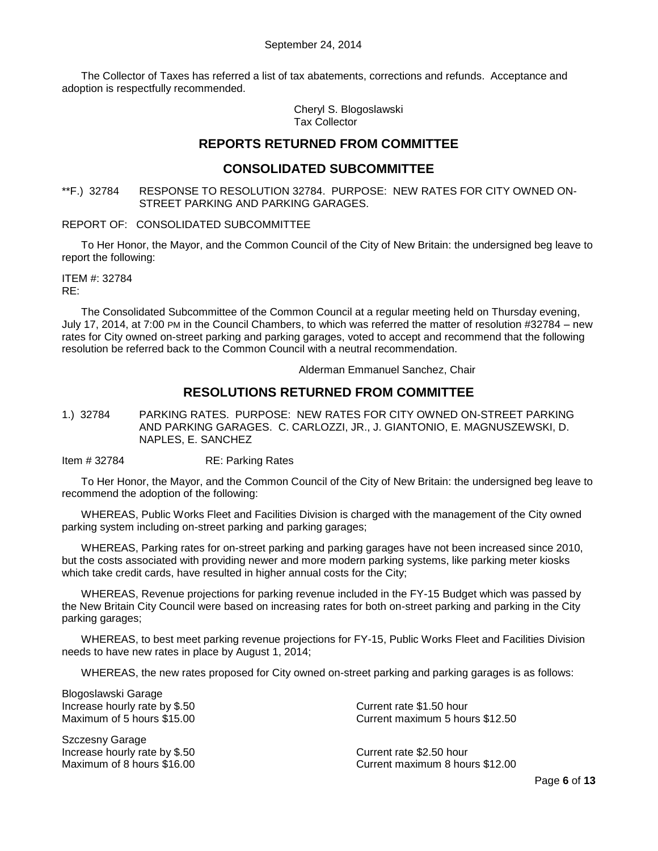The Collector of Taxes has referred a list of tax abatements, corrections and refunds. Acceptance and adoption is respectfully recommended.

> Cheryl S. Blogoslawski Tax Collector

# **REPORTS RETURNED FROM COMMITTEE**

# **CONSOLIDATED SUBCOMMITTEE**

<span id="page-5-0"></span>\*\*F.) 32784 RESPONSE TO RESOLUTION 32784. PURPOSE: NEW RATES FOR CITY OWNED ON-STREET PARKING AND PARKING GARAGES.

REPORT OF: CONSOLIDATED SUBCOMMITTEE

To Her Honor, the Mayor, and the Common Council of the City of New Britain: the undersigned beg leave to report the following:

ITEM #: 32784 RE:

The Consolidated Subcommittee of the Common Council at a regular meeting held on Thursday evening, July 17, 2014, at 7:00 PM in the Council Chambers, to which was referred the matter of resolution #32784 – new rates for City owned on-street parking and parking garages, voted to accept and recommend that the following resolution be referred back to the Common Council with a neutral recommendation.

Alderman Emmanuel Sanchez, Chair

# **RESOLUTIONS RETURNED FROM COMMITTEE**

<span id="page-5-1"></span>1.) 32784 PARKING RATES. PURPOSE: NEW RATES FOR CITY OWNED ON-STREET PARKING AND PARKING GARAGES. C. CARLOZZI, JR., J. GIANTONIO, E. MAGNUSZEWSKI, D. NAPLES, E. SANCHEZ

Item # 32784 RE: Parking Rates

To Her Honor, the Mayor, and the Common Council of the City of New Britain: the undersigned beg leave to recommend the adoption of the following:

WHEREAS, Public Works Fleet and Facilities Division is charged with the management of the City owned parking system including on-street parking and parking garages;

WHEREAS, Parking rates for on-street parking and parking garages have not been increased since 2010, but the costs associated with providing newer and more modern parking systems, like parking meter kiosks which take credit cards, have resulted in higher annual costs for the City;

WHEREAS, Revenue projections for parking revenue included in the FY-15 Budget which was passed by the New Britain City Council were based on increasing rates for both on-street parking and parking in the City parking garages;

WHEREAS, to best meet parking revenue projections for FY-15, Public Works Fleet and Facilities Division needs to have new rates in place by August 1, 2014;

WHEREAS, the new rates proposed for City owned on-street parking and parking garages is as follows:

Blogoslawski Garage Increase hourly rate by \$.50 Current rate \$1.50 hour

Szczesny Garage Increase hourly rate by \$.50 <br>Maximum of 8 hours \$16.00 Maximum 8 hour

Maximum of 5 hours \$15.00 Current maximum 5 hours \$12.50

Current maximum 8 hours \$12.00

Page **6** of **13**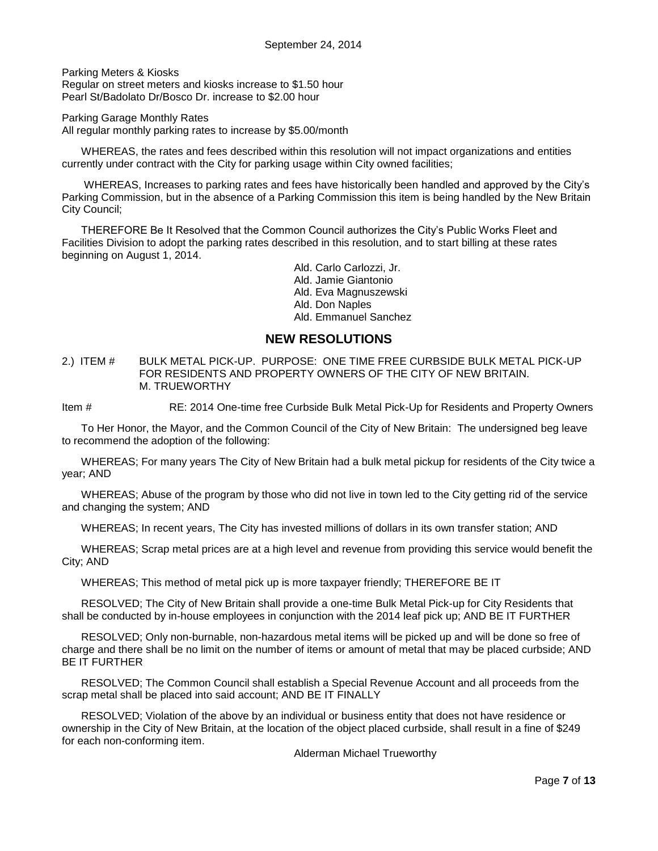Parking Meters & Kiosks Regular on street meters and kiosks increase to \$1.50 hour

Pearl St/Badolato Dr/Bosco Dr. increase to \$2.00 hour

Parking Garage Monthly Rates

All regular monthly parking rates to increase by \$5.00/month

WHEREAS, the rates and fees described within this resolution will not impact organizations and entities currently under contract with the City for parking usage within City owned facilities;

WHEREAS, Increases to parking rates and fees have historically been handled and approved by the City's Parking Commission, but in the absence of a Parking Commission this item is being handled by the New Britain City Council;

THEREFORE Be It Resolved that the Common Council authorizes the City's Public Works Fleet and Facilities Division to adopt the parking rates described in this resolution, and to start billing at these rates beginning on August 1, 2014.

> Ald. Carlo Carlozzi, Jr. Ald. Jamie Giantonio Ald. Eva Magnuszewski Ald. Don Naples Ald. Emmanuel Sanchez

# **NEW RESOLUTIONS**

<span id="page-6-0"></span>2.) ITEM # BULK METAL PICK-UP. PURPOSE: ONE TIME FREE CURBSIDE BULK METAL PICK-UP FOR RESIDENTS AND PROPERTY OWNERS OF THE CITY OF NEW BRITAIN. M. TRUEWORTHY

Item # RE: 2014 One-time free Curbside Bulk Metal Pick-Up for Residents and Property Owners

To Her Honor, the Mayor, and the Common Council of the City of New Britain: The undersigned beg leave to recommend the adoption of the following:

WHEREAS; For many years The City of New Britain had a bulk metal pickup for residents of the City twice a year; AND

WHEREAS; Abuse of the program by those who did not live in town led to the City getting rid of the service and changing the system; AND

WHEREAS; In recent years, The City has invested millions of dollars in its own transfer station; AND

WHEREAS; Scrap metal prices are at a high level and revenue from providing this service would benefit the City; AND

WHEREAS; This method of metal pick up is more taxpayer friendly; THEREFORE BE IT

RESOLVED; The City of New Britain shall provide a one-time Bulk Metal Pick-up for City Residents that shall be conducted by in-house employees in conjunction with the 2014 leaf pick up; AND BE IT FURTHER

RESOLVED; Only non-burnable, non-hazardous metal items will be picked up and will be done so free of charge and there shall be no limit on the number of items or amount of metal that may be placed curbside; AND BE IT FURTHER

RESOLVED; The Common Council shall establish a Special Revenue Account and all proceeds from the scrap metal shall be placed into said account; AND BE IT FINALLY

RESOLVED; Violation of the above by an individual or business entity that does not have residence or ownership in the City of New Britain, at the location of the object placed curbside, shall result in a fine of \$249 for each non-conforming item.

Alderman Michael Trueworthy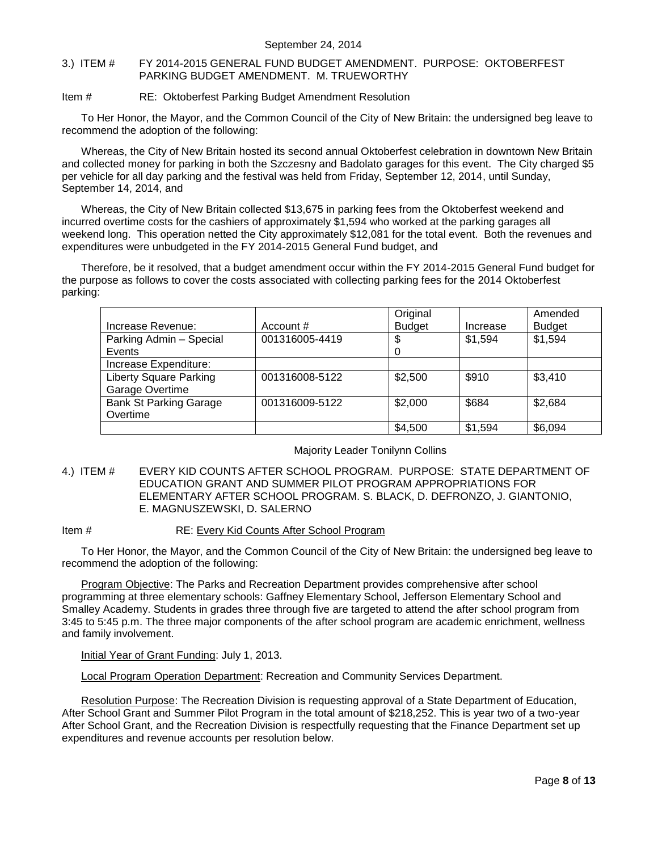#### <span id="page-7-0"></span>3.) ITEM # FY 2014-2015 GENERAL FUND BUDGET AMENDMENT. PURPOSE: OKTOBERFEST PARKING BUDGET AMENDMENT. M. TRUEWORTHY

#### Item # RE: Oktoberfest Parking Budget Amendment Resolution

To Her Honor, the Mayor, and the Common Council of the City of New Britain: the undersigned beg leave to recommend the adoption of the following:

Whereas, the City of New Britain hosted its second annual Oktoberfest celebration in downtown New Britain and collected money for parking in both the Szczesny and Badolato garages for this event. The City charged \$5 per vehicle for all day parking and the festival was held from Friday, September 12, 2014, until Sunday, September 14, 2014, and

Whereas, the City of New Britain collected \$13,675 in parking fees from the Oktoberfest weekend and incurred overtime costs for the cashiers of approximately \$1,594 who worked at the parking garages all weekend long. This operation netted the City approximately \$12,081 for the total event. Both the revenues and expenditures were unbudgeted in the FY 2014-2015 General Fund budget, and

Therefore, be it resolved, that a budget amendment occur within the FY 2014-2015 General Fund budget for the purpose as follows to cover the costs associated with collecting parking fees for the 2014 Oktoberfest parking:

|                               |                | Original      |          | Amended       |
|-------------------------------|----------------|---------------|----------|---------------|
| Increase Revenue:             | Account #      | <b>Budget</b> | Increase | <b>Budget</b> |
| Parking Admin - Special       | 001316005-4419 | \$            | \$1,594  | \$1,594       |
| Events                        |                | 0             |          |               |
| Increase Expenditure:         |                |               |          |               |
| <b>Liberty Square Parking</b> | 001316008-5122 | \$2,500       | \$910    | \$3,410       |
| Garage Overtime               |                |               |          |               |
| <b>Bank St Parking Garage</b> | 001316009-5122 | \$2,000       | \$684    | \$2,684       |
| Overtime                      |                |               |          |               |
|                               |                | \$4,500       | \$1,594  | \$6,094       |

#### Majority Leader Tonilynn Collins

<span id="page-7-1"></span>4.) ITEM # EVERY KID COUNTS AFTER SCHOOL PROGRAM. PURPOSE: STATE DEPARTMENT OF EDUCATION GRANT AND SUMMER PILOT PROGRAM APPROPRIATIONS FOR ELEMENTARY AFTER SCHOOL PROGRAM. S. BLACK, D. DEFRONZO, J. GIANTONIO, E. MAGNUSZEWSKI, D. SALERNO

#### Item # RE: Every Kid Counts After School Program

To Her Honor, the Mayor, and the Common Council of the City of New Britain: the undersigned beg leave to recommend the adoption of the following:

Program Objective: The Parks and Recreation Department provides comprehensive after school programming at three elementary schools: Gaffney Elementary School, Jefferson Elementary School and Smalley Academy. Students in grades three through five are targeted to attend the after school program from 3:45 to 5:45 p.m. The three major components of the after school program are academic enrichment, wellness and family involvement.

Initial Year of Grant Funding: July 1, 2013.

Local Program Operation Department: Recreation and Community Services Department.

Resolution Purpose: The Recreation Division is requesting approval of a State Department of Education, After School Grant and Summer Pilot Program in the total amount of \$218,252. This is year two of a two-year After School Grant, and the Recreation Division is respectfully requesting that the Finance Department set up expenditures and revenue accounts per resolution below.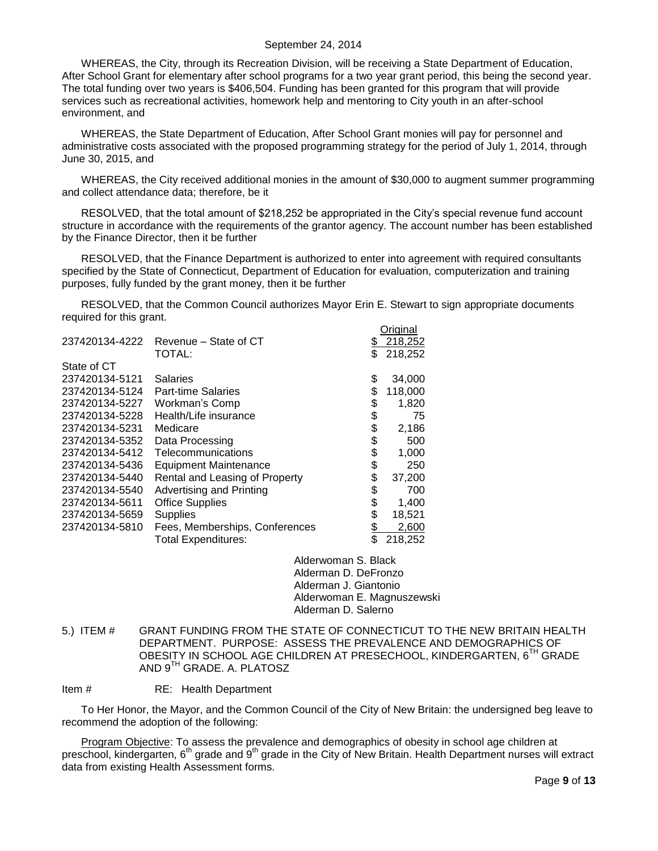#### September 24, 2014

WHEREAS, the City, through its Recreation Division, will be receiving a State Department of Education, After School Grant for elementary after school programs for a two year grant period, this being the second year. The total funding over two years is \$406,504. Funding has been granted for this program that will provide services such as recreational activities, homework help and mentoring to City youth in an after-school environment, and

WHEREAS, the State Department of Education, After School Grant monies will pay for personnel and administrative costs associated with the proposed programming strategy for the period of July 1, 2014, through June 30, 2015, and

WHEREAS, the City received additional monies in the amount of \$30,000 to augment summer programming and collect attendance data; therefore, be it

RESOLVED, that the total amount of \$218,252 be appropriated in the City's special revenue fund account structure in accordance with the requirements of the grantor agency. The account number has been established by the Finance Director, then it be further

RESOLVED, that the Finance Department is authorized to enter into agreement with required consultants specified by the State of Connecticut, Department of Education for evaluation, computerization and training purposes, fully funded by the grant money, then it be further

RESOLVED, that the Common Council authorizes Mayor Erin E. Stewart to sign appropriate documents required for this grant.

|                |                                | Original      |
|----------------|--------------------------------|---------------|
| 237420134-4222 | Revenue – State of CT          | 218,252       |
|                | TOTAL:                         | \$<br>218,252 |
| State of CT    |                                |               |
| 237420134-5121 | <b>Salaries</b>                | \$<br>34,000  |
| 237420134-5124 | <b>Part-time Salaries</b>      | \$<br>118,000 |
| 237420134-5227 | Workman's Comp                 | \$<br>1,820   |
| 237420134-5228 | Health/Life insurance          | \$<br>75      |
| 237420134-5231 | Medicare                       | \$<br>2,186   |
| 237420134-5352 | Data Processing                | \$<br>500     |
| 237420134-5412 | Telecommunications             | \$<br>1,000   |
| 237420134-5436 | <b>Equipment Maintenance</b>   | \$<br>250     |
| 237420134-5440 | Rental and Leasing of Property | \$<br>37,200  |
| 237420134-5540 | Advertising and Printing       | \$<br>700     |
| 237420134-5611 | <b>Office Supplies</b>         | \$<br>1,400   |
| 237420134-5659 | <b>Supplies</b>                | \$<br>18,521  |
| 237420134-5810 | Fees, Memberships, Conferences | 2,600         |
|                | <b>Total Expenditures:</b>     | \$<br>218,252 |

Alderwoman S. Black Alderman D. DeFronzo Alderman J. Giantonio Alderwoman E. Magnuszewski Alderman D. Salerno

<span id="page-8-0"></span>5.) ITEM # GRANT FUNDING FROM THE STATE OF CONNECTICUT TO THE NEW BRITAIN HEALTH DEPARTMENT. PURPOSE: ASSESS THE PREVALENCE AND DEMOGRAPHICS OF OBESITY IN SCHOOL AGE CHILDREN AT PRESECHOOL, KINDERGARTEN, 6TH GRADE AND 9TH GRADE. A. PLATOSZ

Item # RE: Health Department

To Her Honor, the Mayor, and the Common Council of the City of New Britain: the undersigned beg leave to recommend the adoption of the following:

Program Objective: To assess the prevalence and demographics of obesity in school age children at preschool, kindergarten, 6<sup>th</sup> grade and 9<sup>th</sup> grade in the City of New Britain. Health Department nurses will extract data from existing Health Assessment forms.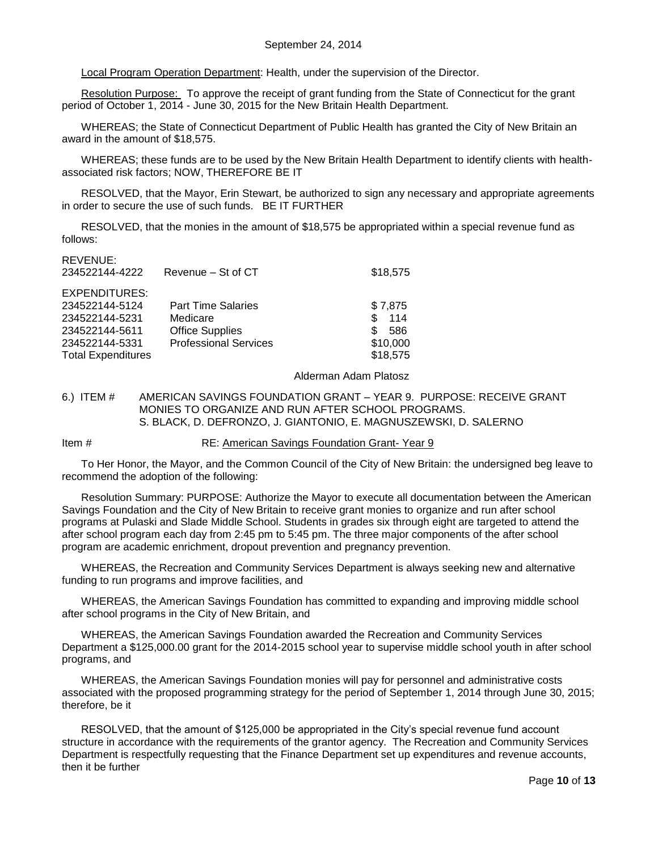Local Program Operation Department: Health, under the supervision of the Director.

Resolution Purpose: To approve the receipt of grant funding from the State of Connecticut for the grant period of October 1, 2014 - June 30, 2015 for the New Britain Health Department.

WHEREAS; the State of Connecticut Department of Public Health has granted the City of New Britain an award in the amount of \$18,575.

WHEREAS; these funds are to be used by the New Britain Health Department to identify clients with healthassociated risk factors; NOW, THEREFORE BE IT

RESOLVED, that the Mayor, Erin Stewart, be authorized to sign any necessary and appropriate agreements in order to secure the use of such funds. BE IT FURTHER

RESOLVED, that the monies in the amount of \$18,575 be appropriated within a special revenue fund as follows:

REVENUE:

| 11 L V L I V U L .        |                              |            |
|---------------------------|------------------------------|------------|
| 234522144-4222            | Revenue - St of CT           | \$18,575   |
|                           |                              |            |
| EXPENDITURES:             |                              |            |
| 234522144-5124            | <b>Part Time Salaries</b>    | \$7,875    |
| 234522144-5231            | Medicare                     | \$.<br>114 |
| 234522144-5611            | <b>Office Supplies</b>       | \$.<br>586 |
| 234522144-5331            | <b>Professional Services</b> | \$10,000   |
| <b>Total Expenditures</b> |                              | \$18,575   |
|                           |                              |            |

Alderman Adam Platosz

<span id="page-9-0"></span>6.) ITEM # AMERICAN SAVINGS FOUNDATION GRANT – YEAR 9. PURPOSE: RECEIVE GRANT MONIES TO ORGANIZE AND RUN AFTER SCHOOL PROGRAMS. S. BLACK, D. DEFRONZO, J. GIANTONIO, E. MAGNUSZEWSKI, D. SALERNO

Item # RE: American Savings Foundation Grant- Year 9

To Her Honor, the Mayor, and the Common Council of the City of New Britain: the undersigned beg leave to recommend the adoption of the following:

Resolution Summary: PURPOSE: Authorize the Mayor to execute all documentation between the American Savings Foundation and the City of New Britain to receive grant monies to organize and run after school programs at Pulaski and Slade Middle School. Students in grades six through eight are targeted to attend the after school program each day from 2:45 pm to 5:45 pm. The three major components of the after school program are academic enrichment, dropout prevention and pregnancy prevention.

WHEREAS, the Recreation and Community Services Department is always seeking new and alternative funding to run programs and improve facilities, and

WHEREAS, the American Savings Foundation has committed to expanding and improving middle school after school programs in the City of New Britain, and

WHEREAS, the American Savings Foundation awarded the Recreation and Community Services Department a \$125,000.00 grant for the 2014-2015 school year to supervise middle school youth in after school programs, and

WHEREAS, the American Savings Foundation monies will pay for personnel and administrative costs associated with the proposed programming strategy for the period of September 1, 2014 through June 30, 2015; therefore, be it

RESOLVED, that the amount of \$125,000 be appropriated in the City's special revenue fund account structure in accordance with the requirements of the grantor agency. The Recreation and Community Services Department is respectfully requesting that the Finance Department set up expenditures and revenue accounts, then it be further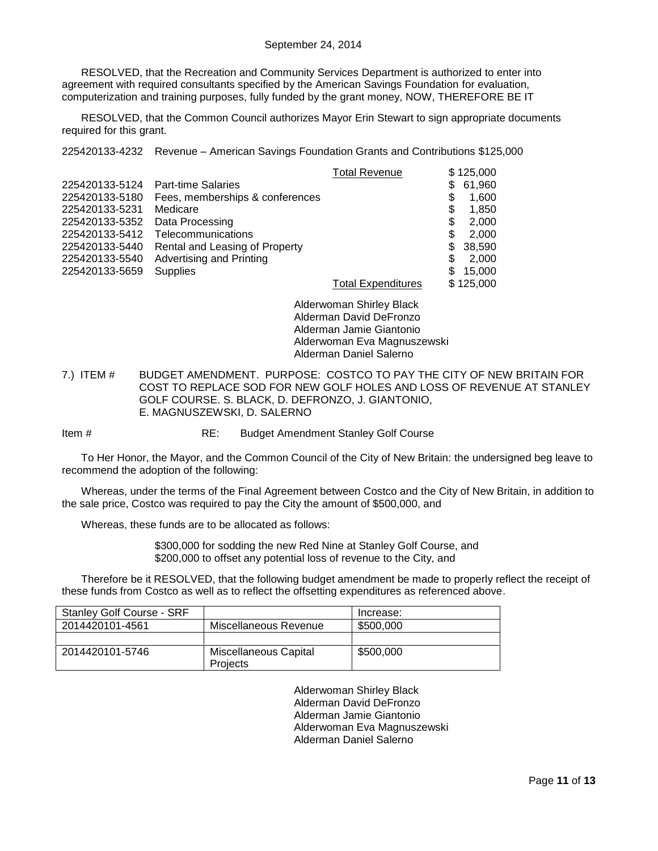RESOLVED, that the Recreation and Community Services Department is authorized to enter into agreement with required consultants specified by the American Savings Foundation for evaluation, computerization and training purposes, fully funded by the grant money, NOW, THEREFORE BE IT

RESOLVED, that the Common Council authorizes Mayor Erin Stewart to sign appropriate documents required for this grant.

225420133-4232 Revenue – American Savings Foundation Grants and Contributions \$125,000

|                |                                 | <b>Total Revenue</b>      | \$125,000     |
|----------------|---------------------------------|---------------------------|---------------|
| 225420133-5124 | <b>Part-time Salaries</b>       |                           | 61,960<br>\$. |
| 225420133-5180 | Fees, memberships & conferences |                           | \$<br>1,600   |
| 225420133-5231 | Medicare                        |                           | \$<br>1,850   |
| 225420133-5352 | Data Processing                 |                           | S<br>2,000    |
| 225420133-5412 | Telecommunications              |                           | 2,000<br>S    |
| 225420133-5440 | Rental and Leasing of Property  |                           | 38,590<br>S.  |
| 225420133-5540 | Advertising and Printing        |                           | \$.<br>2.000  |
| 225420133-5659 | <b>Supplies</b>                 |                           | 15,000<br>\$. |
|                |                                 | <b>Total Expenditures</b> | \$125,000     |

Alderwoman Shirley Black Alderman David DeFronzo Alderman Jamie Giantonio Alderwoman Eva Magnuszewski Alderman Daniel Salerno

<span id="page-10-0"></span>7.) ITEM # BUDGET AMENDMENT. PURPOSE: COSTCO TO PAY THE CITY OF NEW BRITAIN FOR COST TO REPLACE SOD FOR NEW GOLF HOLES AND LOSS OF REVENUE AT STANLEY GOLF COURSE. S. BLACK, D. DEFRONZO, J. GIANTONIO, E. MAGNUSZEWSKI, D. SALERNO

Item # RE: Budget Amendment Stanley Golf Course

To Her Honor, the Mayor, and the Common Council of the City of New Britain: the undersigned beg leave to recommend the adoption of the following:

Whereas, under the terms of the Final Agreement between Costco and the City of New Britain, in addition to the sale price, Costco was required to pay the City the amount of \$500,000, and

Whereas, these funds are to be allocated as follows:

\$300,000 for sodding the new Red Nine at Stanley Golf Course, and \$200,000 to offset any potential loss of revenue to the City, and

Therefore be it RESOLVED, that the following budget amendment be made to properly reflect the receipt of these funds from Costco as well as to reflect the offsetting expenditures as referenced above.

| <b>Stanley Golf Course - SRF</b> |                                   | Increase: |
|----------------------------------|-----------------------------------|-----------|
| 2014420101-4561                  | Miscellaneous Revenue             | \$500,000 |
|                                  |                                   |           |
| 2014420101-5746                  | Miscellaneous Capital<br>Projects | \$500,000 |

Alderwoman Shirley Black Alderman David DeFronzo Alderman Jamie Giantonio Alderwoman Eva Magnuszewski Alderman Daniel Salerno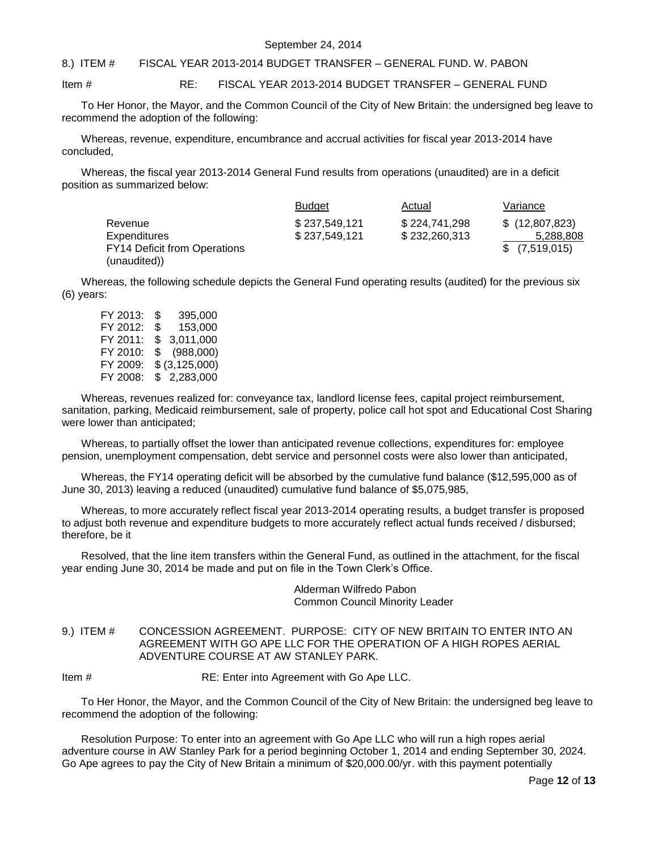#### September 24, 2014

#### <span id="page-11-0"></span>8.) ITEM # FISCAL YEAR 2013-2014 BUDGET TRANSFER – GENERAL FUND. W. PABON

#### Item # RE: FISCAL YEAR 2013-2014 BUDGET TRANSFER – GENERAL FUND

To Her Honor, the Mayor, and the Common Council of the City of New Britain: the undersigned beg leave to recommend the adoption of the following:

Whereas, revenue, expenditure, encumbrance and accrual activities for fiscal year 2013-2014 have concluded,

Whereas, the fiscal year 2013-2014 General Fund results from operations (unaudited) are in a deficit position as summarized below:

|                                     | <b>Budget</b> | Actual        | Variance       |
|-------------------------------------|---------------|---------------|----------------|
| Revenue                             | \$237,549,121 | \$224,741,298 | \$(12,807,823) |
| Expenditures                        | \$237,549,121 | \$232,260,313 | 5,288,808      |
| <b>FY14 Deficit from Operations</b> |               |               | \$(7,519,015)  |
| (unaudited))                        |               |               |                |

Whereas, the following schedule depicts the General Fund operating results (audited) for the previous six (6) years:

| FY 2013: | S  | 395,000         |
|----------|----|-----------------|
| FY 2012: | \$ | 153.000         |
| FY 2011: | \$ | 3.011,000       |
| FY 2010: | \$ | (988,000)       |
| FY 2009: |    | $$$ (3,125,000) |
| FY 2008: |    | \$2,283,000     |

Whereas, revenues realized for: conveyance tax, landlord license fees, capital project reimbursement, sanitation, parking, Medicaid reimbursement, sale of property, police call hot spot and Educational Cost Sharing were lower than anticipated;

Whereas, to partially offset the lower than anticipated revenue collections, expenditures for: employee pension, unemployment compensation, debt service and personnel costs were also lower than anticipated,

Whereas, the FY14 operating deficit will be absorbed by the cumulative fund balance (\$12,595,000 as of June 30, 2013) leaving a reduced (unaudited) cumulative fund balance of \$5,075,985,

Whereas, to more accurately reflect fiscal year 2013-2014 operating results, a budget transfer is proposed to adjust both revenue and expenditure budgets to more accurately reflect actual funds received / disbursed; therefore, be it

Resolved, that the line item transfers within the General Fund, as outlined in the attachment, for the fiscal year ending June 30, 2014 be made and put on file in the Town Clerk's Office.

> Alderman Wilfredo Pabon Common Council Minority Leader

<span id="page-11-1"></span>9.) ITEM # CONCESSION AGREEMENT. PURPOSE: CITY OF NEW BRITAIN TO ENTER INTO AN AGREEMENT WITH GO APE LLC FOR THE OPERATION OF A HIGH ROPES AERIAL ADVENTURE COURSE AT AW STANLEY PARK.

Item # RE: Enter into Agreement with Go Ape LLC.

To Her Honor, the Mayor, and the Common Council of the City of New Britain: the undersigned beg leave to recommend the adoption of the following:

Resolution Purpose: To enter into an agreement with Go Ape LLC who will run a high ropes aerial adventure course in AW Stanley Park for a period beginning October 1, 2014 and ending September 30, 2024. Go Ape agrees to pay the City of New Britain a minimum of \$20,000.00/yr. with this payment potentially